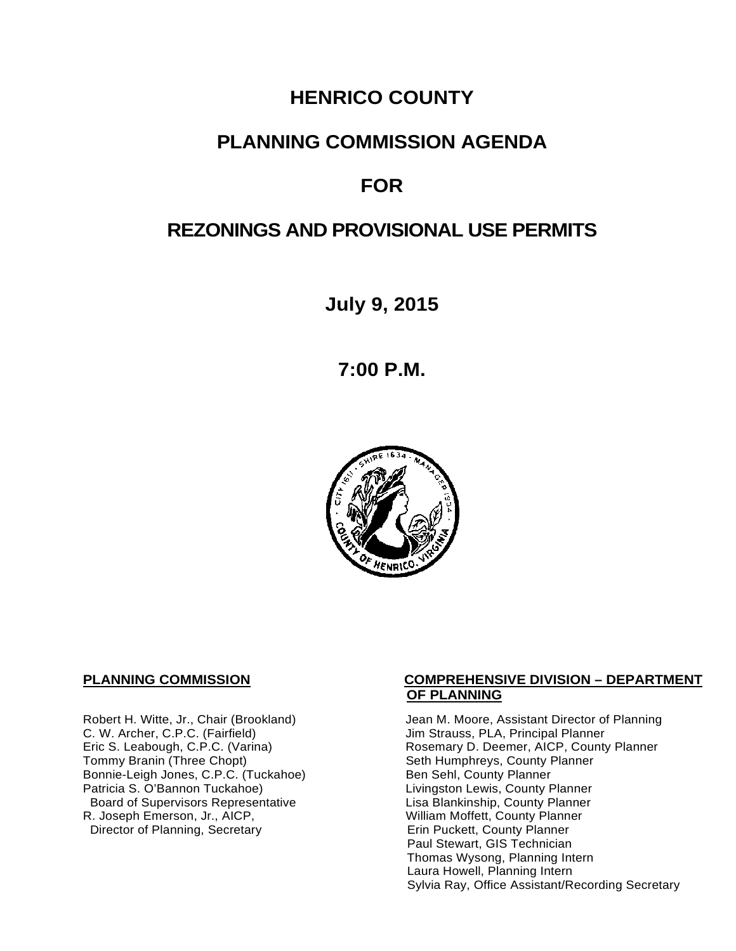# **HENRICO COUNTY**

## **PLANNING COMMISSION AGENDA**

# **FOR**

## **REZONINGS AND PROVISIONAL USE PERMITS**

**July 9, 2015**

**7:00 P.M.**



C. W. Archer, C.P.C. (Fairfield) and Summan Jim Strauss, PLA, Principal Planner<br>
Eric S. Leabough, C.P.C. (Varina) and Summan Rosemary D. Deemer, AICP, County Bonnie-Leigh Jones, C.P.C. (Tuckahoe)<br>Patricia S. O'Bannon Tuckahoe) Board of Supervisors Representative Fig. 2016 Lisa Blankinship, County Planner<br>Lisa Blankinship, County Planner (2008) Lisa Mortett, County Planner (2008) R. Joseph Emerson, Jr., AICP, William Moffett, County Planner<br>Director of Planning, Secretary **Network County Planner** Director of Planning, Secretary

#### **PLANNING COMMISSION COMPREHENSIVE DIVISION – DEPARTMENT OF PLANNING**

Robert H. Witte, Jr., Chair (Brookland) Jean M. Moore, Assistant Director of Planning<br>C. W. Archer, C.P.C. (Fairfield) Jim Strauss, PLA, Principal Planner Eric S. Leabough, C.P.C. (Varina) <br>Tommy Branin (Three Chopt) **Reading State State Seth Humphreys, County Planner** Commy Planner Seth Humphreys, County Planner<br>Ben Sehl, County Planner Livingston Lewis, County Planner Paul Stewart, GIS Technician Thomas Wysong, Planning Intern Laura Howell, Planning Intern Sylvia Ray, Office Assistant/Recording Secretary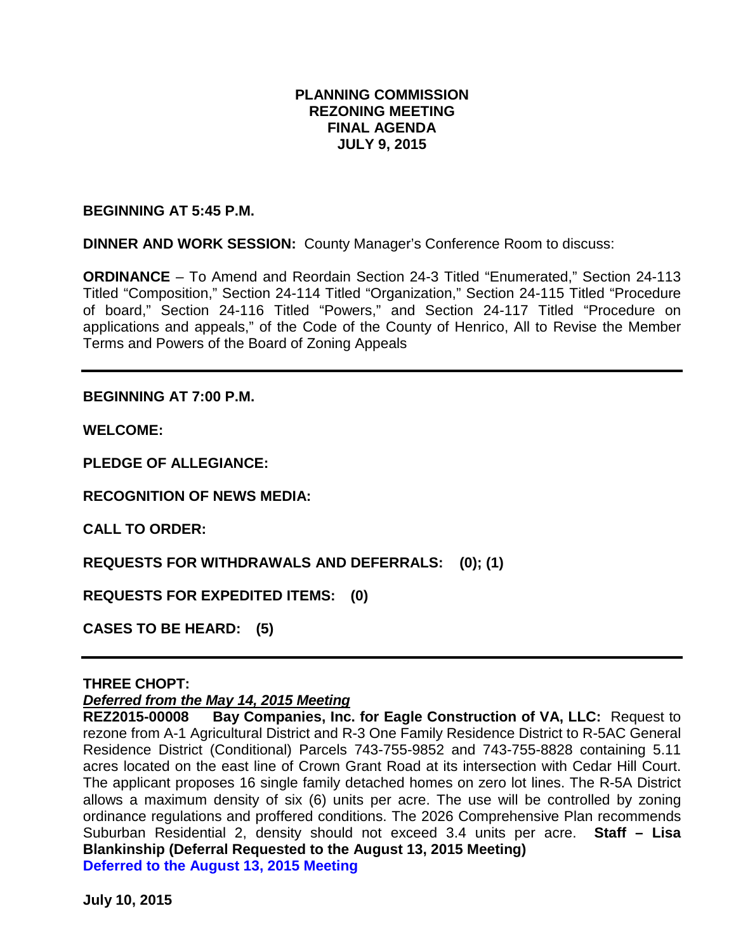### **PLANNING COMMISSION REZONING MEETING FINAL AGENDA JULY 9, 2015**

**BEGINNING AT 5:45 P.M.** 

**DINNER AND WORK SESSION:** County Manager's Conference Room to discuss:

**ORDINANCE** – To Amend and Reordain Section 24-3 Titled "Enumerated," Section 24-113 Titled "Composition," Section 24-114 Titled "Organization," Section 24-115 Titled "Procedure of board," Section 24-116 Titled "Powers," and Section 24-117 Titled "Procedure on applications and appeals," of the Code of the County of Henrico, All to Revise the Member Terms and Powers of the Board of Zoning Appeals

**BEGINNING AT 7:00 P.M.**

**WELCOME:**

**PLEDGE OF ALLEGIANCE:**

**RECOGNITION OF NEWS MEDIA:**

**CALL TO ORDER:**

**REQUESTS FOR WITHDRAWALS AND DEFERRALS: (0); (1)**

**REQUESTS FOR EXPEDITED ITEMS: (0)**

**CASES TO BE HEARD: (5)**

#### **THREE CHOPT:**

*Deferred from the May 14, 2015 Meeting*

**Bay Companies, Inc. for Eagle Construction of VA, LLC: Request to** rezone from A-1 Agricultural District and R-3 One Family Residence District to R-5AC General Residence District (Conditional) Parcels 743-755-9852 and 743-755-8828 containing 5.11 acres located on the east line of Crown Grant Road at its intersection with Cedar Hill Court. The applicant proposes 16 single family detached homes on zero lot lines. The R-5A District allows a maximum density of six (6) units per acre. The use will be controlled by zoning ordinance regulations and proffered conditions. The 2026 Comprehensive Plan recommends Suburban Residential 2, density should not exceed 3.4 units per acre. **Staff – Lisa Blankinship (Deferral Requested to the August 13, 2015 Meeting) Deferred to the August 13, 2015 Meeting**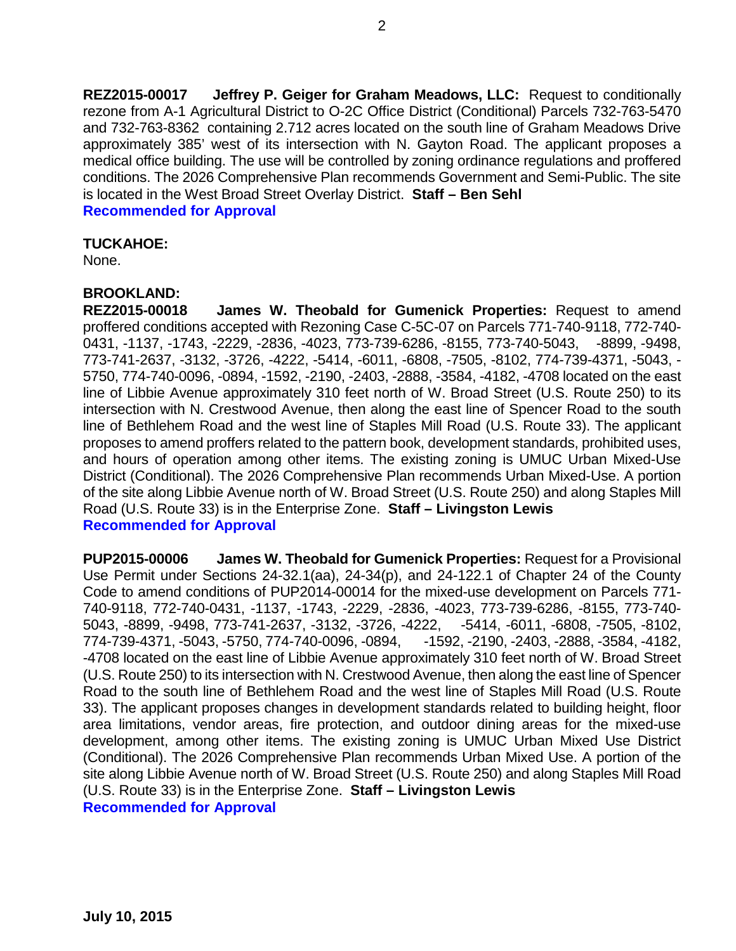**REZ2015-00017 Jeffrey P. Geiger for Graham Meadows, LLC:** Request to conditionally rezone from A-1 Agricultural District to O-2C Office District (Conditional) Parcels 732-763-5470 and 732-763-8362 containing 2.712 acres located on the south line of Graham Meadows Drive approximately 385' west of its intersection with N. Gayton Road. The applicant proposes a medical office building. The use will be controlled by zoning ordinance regulations and proffered conditions. The 2026 Comprehensive Plan recommends Government and Semi-Public. The site is located in the West Broad Street Overlay District. **Staff – Ben Sehl**

**Recommended for Approval**

#### **TUCKAHOE:**

None.

### **BROOKLAND:**

**REZ2015-00018 James W. Theobald for Gumenick Properties:** Request to amend proffered conditions accepted with Rezoning Case C-5C-07 on Parcels 771-740-9118, 772-740- 0431, -1137, -1743, -2229, -2836, -4023, 773-739-6286, -8155, 773-740-5043, -8899, -9498, 773-741-2637, -3132, -3726, -4222, -5414, -6011, -6808, -7505, -8102, 774-739-4371, -5043, - 5750, 774-740-0096, -0894, -1592, -2190, -2403, -2888, -3584, -4182, -4708 located on the east line of Libbie Avenue approximately 310 feet north of W. Broad Street (U.S. Route 250) to its intersection with N. Crestwood Avenue, then along the east line of Spencer Road to the south line of Bethlehem Road and the west line of Staples Mill Road (U.S. Route 33). The applicant proposes to amend proffers related to the pattern book, development standards, prohibited uses, and hours of operation among other items. The existing zoning is UMUC Urban Mixed-Use District (Conditional). The 2026 Comprehensive Plan recommends Urban Mixed-Use. A portion of the site along Libbie Avenue north of W. Broad Street (U.S. Route 250) and along Staples Mill Road (U.S. Route 33) is in the Enterprise Zone. **Staff – Livingston Lewis Recommended for Approval**

**PUP2015-00006 James W. Theobald for Gumenick Properties:** Request for a Provisional Use Permit under Sections 24-32.1(aa), 24-34(p), and 24-122.1 of Chapter 24 of the County Code to amend conditions of PUP2014-00014 for the mixed-use development on Parcels 771- 740-9118, 772-740-0431, -1137, -1743, -2229, -2836, -4023, 773-739-6286, -8155, 773-740- 5043, -8899, -9498, 773-741-2637, -3132, -3726, -4222, -5414, -6011, -6808, -7505, -8102, 774-739-4371, -5043, -5750, 774-740-0096, -0894, -1592, -2190, -2403, -2888, -3584, -4182, -4708 located on the east line of Libbie Avenue approximately 310 feet north of W. Broad Street (U.S. Route 250) to its intersection with N. Crestwood Avenue, then along the east line of Spencer Road to the south line of Bethlehem Road and the west line of Staples Mill Road (U.S. Route 33). The applicant proposes changes in development standards related to building height, floor area limitations, vendor areas, fire protection, and outdoor dining areas for the mixed-use development, among other items. The existing zoning is UMUC Urban Mixed Use District (Conditional). The 2026 Comprehensive Plan recommends Urban Mixed Use. A portion of the site along Libbie Avenue north of W. Broad Street (U.S. Route 250) and along Staples Mill Road (U.S. Route 33) is in the Enterprise Zone. **Staff – Livingston Lewis Recommended for Approval**